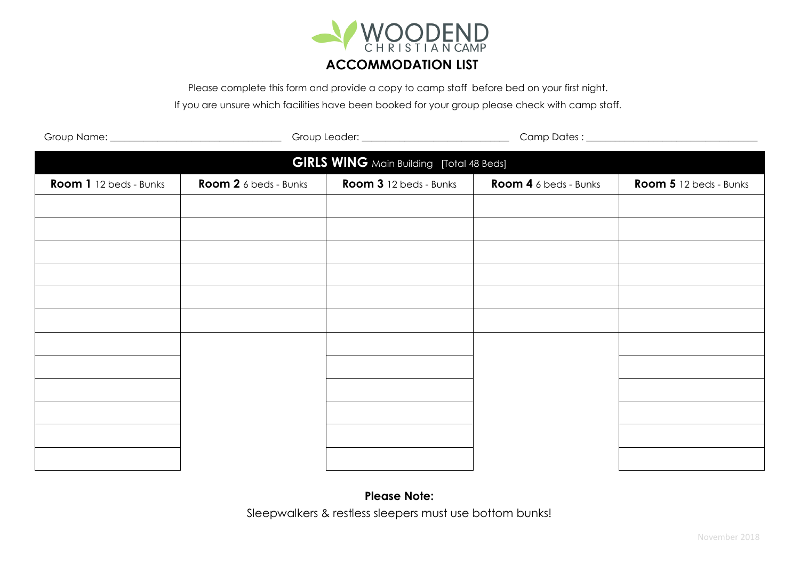

Please complete this form and provide a copy to camp staff before bed on your first night.

If you are unsure which facilities have been booked for your group please check with camp staff.

| <b>GIRLS WING</b> Main Building [Total 48 Beds] |                              |                        |                       |                        |  |  |
|-------------------------------------------------|------------------------------|------------------------|-----------------------|------------------------|--|--|
| Room 1 12 beds - Bunks                          | <b>Room 2</b> 6 beds - Bunks | Room 3 12 beds - Bunks | Room 4 6 beds - Bunks | Room 5 12 beds - Bunks |  |  |
|                                                 |                              |                        |                       |                        |  |  |
|                                                 |                              |                        |                       |                        |  |  |
|                                                 |                              |                        |                       |                        |  |  |
|                                                 |                              |                        |                       |                        |  |  |
|                                                 |                              |                        |                       |                        |  |  |
|                                                 |                              |                        |                       |                        |  |  |
|                                                 |                              |                        |                       |                        |  |  |
|                                                 |                              |                        |                       |                        |  |  |
|                                                 |                              |                        |                       |                        |  |  |
|                                                 |                              |                        |                       |                        |  |  |
|                                                 |                              |                        |                       |                        |  |  |
|                                                 |                              |                        |                       |                        |  |  |
|                                                 |                              |                        |                       |                        |  |  |

## **Please Note:** Sleepwalkers & restless sleepers must use bottom bunks!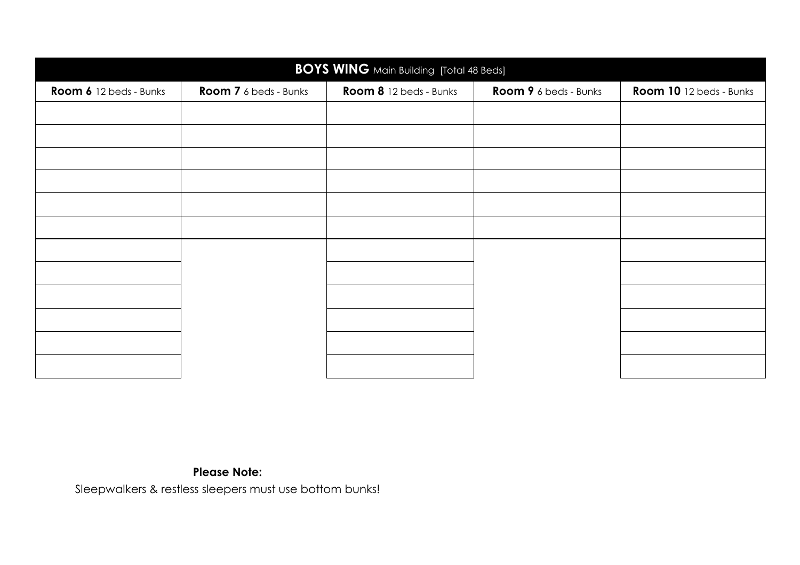| <b>BOYS WING</b> Main Building [Total 48 Beds] |                       |                        |                       |                         |  |  |
|------------------------------------------------|-----------------------|------------------------|-----------------------|-------------------------|--|--|
| Room 6 12 beds - Bunks                         | Room 7 6 beds - Bunks | Room 8 12 beds - Bunks | Room 9 6 beds - Bunks | Room 10 12 beds - Bunks |  |  |
|                                                |                       |                        |                       |                         |  |  |
|                                                |                       |                        |                       |                         |  |  |
|                                                |                       |                        |                       |                         |  |  |
|                                                |                       |                        |                       |                         |  |  |
|                                                |                       |                        |                       |                         |  |  |
|                                                |                       |                        |                       |                         |  |  |
|                                                |                       |                        |                       |                         |  |  |
|                                                |                       |                        |                       |                         |  |  |
|                                                |                       |                        |                       |                         |  |  |
|                                                |                       |                        |                       |                         |  |  |
|                                                |                       |                        |                       |                         |  |  |
|                                                |                       |                        |                       |                         |  |  |

## **Please Note:**

Sleepwalkers & restless sleepers must use bottom bunks!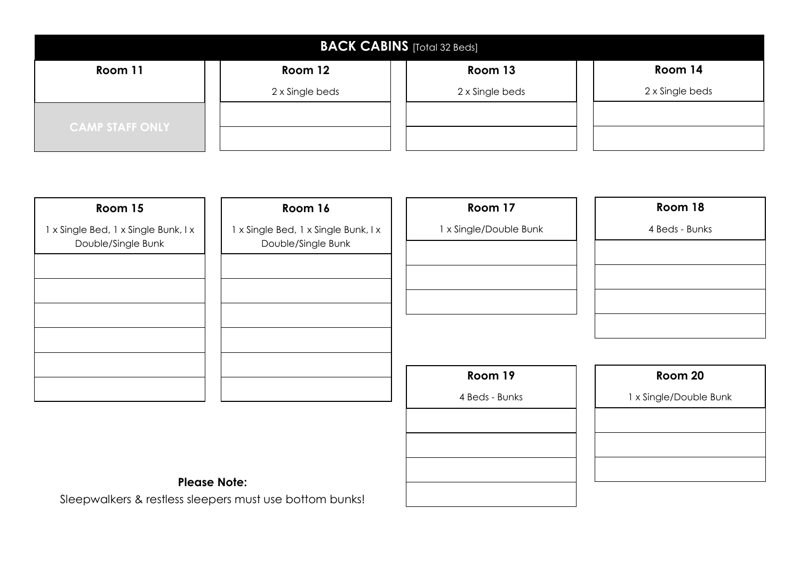| <b>BACK CABINS</b> [Total 32 Beds] |                 |                 |                 |  |  |  |
|------------------------------------|-----------------|-----------------|-----------------|--|--|--|
| Room 11                            | Room 12         | Room 13         | Room 14         |  |  |  |
|                                    | 2 x Single beds | 2 x Single beds | 2 x Single beds |  |  |  |
| <b>CAMP STAFF ONLY</b>             |                 |                 |                 |  |  |  |

| Room 15                                                    | Room 16                                                    | Room 17                | Room 18                |
|------------------------------------------------------------|------------------------------------------------------------|------------------------|------------------------|
| 1 x Single Bed, 1 x Single Bunk, I x<br>Double/Single Bunk | 1 x Single Bed, 1 x Single Bunk, I x<br>Double/Single Bunk | 1 x Single/Double Bunk | 4 Beds - Bunks         |
|                                                            |                                                            | Room 19                | Room 20                |
|                                                            |                                                            | 4 Beds - Bunks         | 1 x Single/Double Bunk |

## **Please Note:**

Sleepwalkers & restless sleepers must use bottom bunks!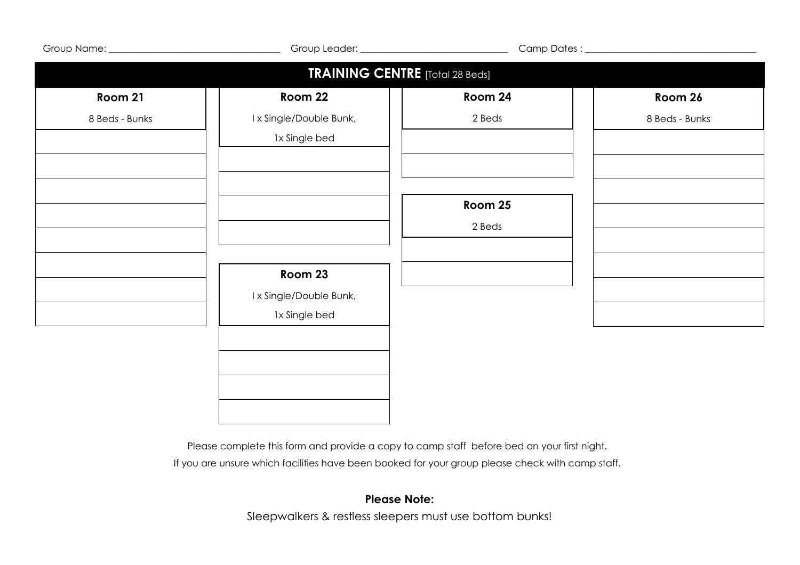|                                        | Group Leader: _______________________________       |                   |                |  |  |  |
|----------------------------------------|-----------------------------------------------------|-------------------|----------------|--|--|--|
| <b>TRAINING CENTRE</b> [Total 28 Beds] |                                                     |                   |                |  |  |  |
| Room 21                                | Room 22                                             | Room 24           | Room 26        |  |  |  |
| 8 Beds - Bunks                         | I x Single/Double Bunk,<br>1x Single bed            | 2 Beds            | 8 Beds - Bunks |  |  |  |
|                                        |                                                     | Room 25<br>2 Beds |                |  |  |  |
|                                        | Room 23<br>I x Single/Double Bunk,<br>1x Single bed |                   |                |  |  |  |
|                                        |                                                     |                   |                |  |  |  |

Please complete this form and provide a copy to camp staff before bed on your first night.

If you are unsure which facilities have been booked for your group please check with camp staff.

## **Please Note:**

Sleepwalkers & restless sleepers must use bottom bunks!